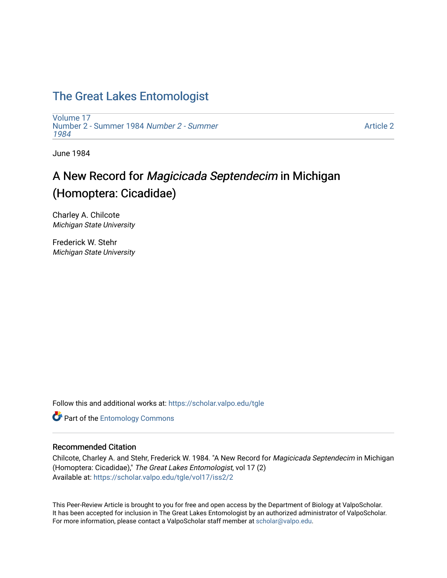## [The Great Lakes Entomologist](https://scholar.valpo.edu/tgle)

[Volume 17](https://scholar.valpo.edu/tgle/vol17) [Number 2 - Summer 1984](https://scholar.valpo.edu/tgle/vol17/iss2) Number 2 - Summer [1984](https://scholar.valpo.edu/tgle/vol17/iss2) 

[Article 2](https://scholar.valpo.edu/tgle/vol17/iss2/2) 

June 1984

# A New Record for Magicicada Septendecim in Michigan (Homoptera: Cicadidae)

Charley A. Chilcote Michigan State University

Frederick W. Stehr Michigan State University

Follow this and additional works at: [https://scholar.valpo.edu/tgle](https://scholar.valpo.edu/tgle?utm_source=scholar.valpo.edu%2Ftgle%2Fvol17%2Fiss2%2F2&utm_medium=PDF&utm_campaign=PDFCoverPages) 

**Part of the Entomology Commons** 

### Recommended Citation

Chilcote, Charley A. and Stehr, Frederick W. 1984. "A New Record for Magicicada Septendecim in Michigan (Homoptera: Cicadidae)," The Great Lakes Entomologist, vol 17 (2) Available at: [https://scholar.valpo.edu/tgle/vol17/iss2/2](https://scholar.valpo.edu/tgle/vol17/iss2/2?utm_source=scholar.valpo.edu%2Ftgle%2Fvol17%2Fiss2%2F2&utm_medium=PDF&utm_campaign=PDFCoverPages) 

This Peer-Review Article is brought to you for free and open access by the Department of Biology at ValpoScholar. It has been accepted for inclusion in The Great Lakes Entomologist by an authorized administrator of ValpoScholar. For more information, please contact a ValpoScholar staff member at [scholar@valpo.edu](mailto:scholar@valpo.edu).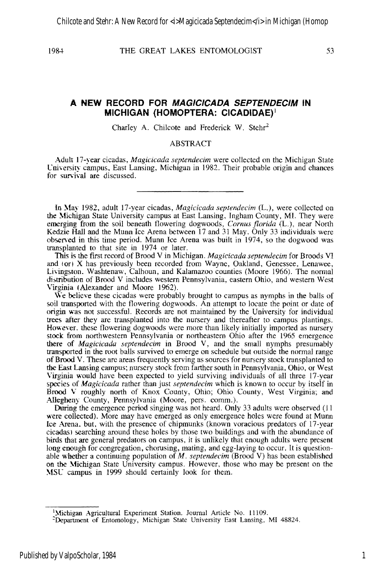#### **A NEW RECORD FOR MAGICICADA SEPTENDECIM IN MICHIGAN (HOMOPTERA: CICADIDAE)1**

Charley A. Chilcote and Frederick W. Stehr<sup>2</sup>

ABSTRACT

.-\dult 17-year cicadas, *Magicicada septendecim* were collected on the Michigan State Cniversity campus, East Lansing, Michigan in 1982. Their probable origin and chances for survival are discussed.

In May 1982, adult 17-year cicadas, *Magicicada septendecim* (L.), were collected on the Michigan State University campus at East Lansing, Ingham County, MI. They were emerging from the soil beneath flowering dogwoods, *Comus florida* (L.), near North Kedzie **Hall** and the Munn Ice Arena between 17 and 31 May. Only 33 individuals were observed in this time period. Munn lee Arena was built in 1974, so the dogwood was transplanted to that site in 1974 or later.

This is the ftrst record of Brood V in Michigan. *Magicicada septendecim* for Broods VI and tori X has previously been recorded from Wayne, Oakland, Genessee, Lenawee, LiYingsron. Washtenaw, Calhoun, and Kalamazoo counties (Moore 1966). The normal distribution of Brood V includes western Pennsylvania, eastern Ohio, and western West Virginia (Alexander and Moore 1962).

We believe these cicadas were probably brought to campus as nymphs in the balls of soil transported with the flowering dogwoods. An attempt to locate the point or date of origin was not successful. Records are not maintained by the University for individual trees after they are transplanted into the nursery and thereafter to campus plantings. However, these flowering dogwoods were more than likely initially imported as nursery stock from northwestern Pennsylvania or northeastern Ohio after the 1965 emergence there of *Magicicada septendecim* in Brood V, and the small nymphs presumably transported in the root balls survived to emerge on schedule but outside the normal range of Brood V. These are areas frequently serving as sources for nursery stock transplanted to the East Lansing campus; nursery stock from farther south in Pennsylvania, Ohio, or West Virginia would have been expected to yield surviving individuals of all three 17-year species of *Mag/cicada* rather than just *septendecim* which is known to occur by itself in Brood V roughly north of Knox County, Ohio; Ohio County, West Virginia; and Allegheny County, Pennsylvania (Moore, pers. comm.).

Ouring the emergence period singing was not heard. Only 33 adults were observed (II were collected). More may have emerged as only emergence holes were found at Munn Ice Arena. but. with the presence of chipmunks (known voracious predators of 17-year cicadas) searching around these holes by those two buildings and with the abundance of birds that are general predators on campus, it is unlikely that enough adults were present long enough for congregation, chorusing, mating, and egg-laying to occur. It is questionable whether a continuing population of *M. septendecim* (Brood V) has been established on the Michigan State University campus. However, those who may be present on the ~{SC campus in 1999 should certainly look for them.

<sup>&</sup>lt;sup>1</sup>Michigan Agricultural Experiment Station. Journal Article No. 11109.

<sup>:</sup>Depanment of Entomology, Michigan State University East Lansing, MI 48824.